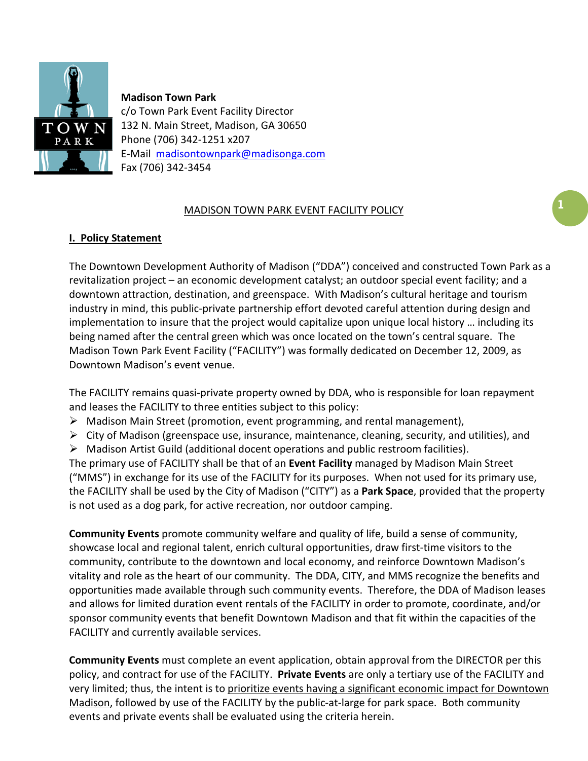

**Madison Town Park** c/o Town Park Event Facility Director 132 N. Main Street, Madison, GA 30650 Phone (706) 342-1251 x207 E-Mail [madisontownpark@madisonga.com](mailto:madisontownpark@madisonga.com) Fax (706) 342-3454

## MADISON TOWN PARK EVENT FACILITY POLICY

## **I. Policy Statement**

The Downtown Development Authority of Madison ("DDA") conceived and constructed Town Park as a revitalization project – an economic development catalyst; an outdoor special event facility; and a downtown attraction, destination, and greenspace. With Madison's cultural heritage and tourism industry in mind, this public-private partnership effort devoted careful attention during design and implementation to insure that the project would capitalize upon unique local history … including its being named after the central green which was once located on the town's central square. The Madison Town Park Event Facility ("FACILITY") was formally dedicated on December 12, 2009, as Downtown Madison's event venue.

The FACILITY remains quasi-private property owned by DDA, who is responsible for loan repayment and leases the FACILITY to three entities subject to this policy:

- $\triangleright$  Madison Main Street (promotion, event programming, and rental management),
- $\triangleright$  City of Madison (greenspace use, insurance, maintenance, cleaning, security, and utilities), and
- $\triangleright$  Madison Artist Guild (additional docent operations and public restroom facilities).

The primary use of FACILITY shall be that of an **Event Facility** managed by Madison Main Street ("MMS") in exchange for its use of the FACILITY for its purposes. When not used for its primary use, the FACILITY shall be used by the City of Madison ("CITY") as a **Park Space**, provided that the property is not used as a dog park, for active recreation, nor outdoor camping.

**Community Events** promote community welfare and quality of life, build a sense of community, showcase local and regional talent, enrich cultural opportunities, draw first-time visitors to the community, contribute to the downtown and local economy, and reinforce Downtown Madison's vitality and role as the heart of our community. The DDA, CITY, and MMS recognize the benefits and opportunities made available through such community events. Therefore, the DDA of Madison leases and allows for limited duration event rentals of the FACILITY in order to promote, coordinate, and/or sponsor community events that benefit Downtown Madison and that fit within the capacities of the FACILITY and currently available services.

**Community Events** must complete an event application, obtain approval from the DIRECTOR per this policy, and contract for use of the FACILITY. **Private Events** are only a tertiary use of the FACILITY and very limited; thus, the intent is to prioritize events having a significant economic impact for Downtown Madison, followed by use of the FACILITY by the public-at-large for park space. Both community events and private events shall be evaluated using the criteria herein.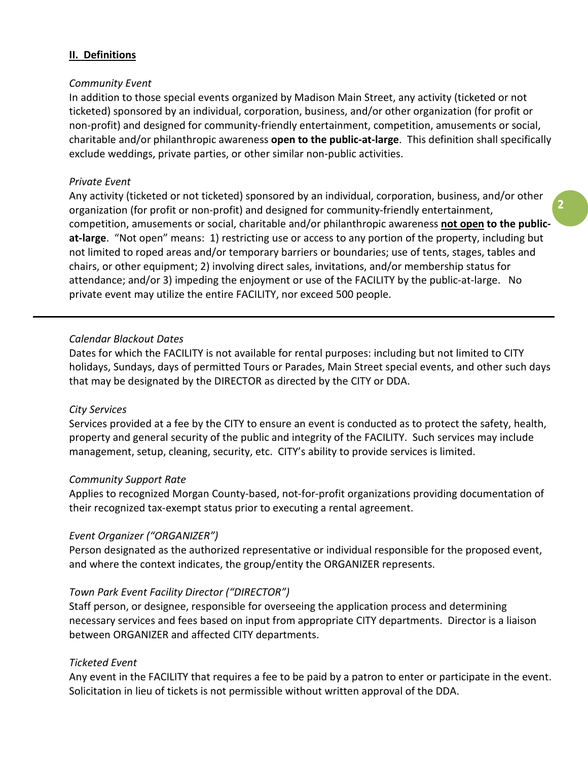## **II. Definitions**

#### *Community Event*

In addition to those special events organized by Madison Main Street, any activity (ticketed or not ticketed) sponsored by an individual, corporation, business, and/or other organization (for profit or non-profit) and designed for community-friendly entertainment, competition, amusements or social, charitable and/or philanthropic awareness **open to the public-at-large**. This definition shall specifically exclude weddings, private parties, or other similar non-public activities.

#### *Private Event*

Any activity (ticketed or not ticketed) sponsored by an individual, corporation, business, and/or other organization (for profit or non-profit) and designed for community-friendly entertainment, competition, amusements or social, charitable and/or philanthropic awareness **not open to the publicat-large**."Not open" means: 1) restricting use or access to any portion of the property, including but not limited to roped areas and/or temporary barriers or boundaries; use of tents, stages, tables and chairs, or other equipment; 2) involving direct sales, invitations, and/or membership status for attendance; and/or 3) impeding the enjoyment or use of the FACILITY by the public-at-large. No private event may utilize the entire FACILITY, nor exceed 500 people.

#### *Calendar Blackout Dates*

Dates for which the FACILITY is not available for rental purposes: including but not limited to CITY holidays, Sundays, days of permitted Tours or Parades, Main Street special events, and other such days that may be designated by the DIRECTOR as directed by the CITY or DDA.

#### *City Services*

Services provided at a fee by the CITY to ensure an event is conducted as to protect the safety, health, property and general security of the public and integrity of the FACILITY. Such services may include management, setup, cleaning, security, etc. CITY's ability to provide services is limited.

#### *Community Support Rate*

Applies to recognized Morgan County-based, not-for-profit organizations providing documentation of their recognized tax-exempt status prior to executing a rental agreement.

#### *Event Organizer ("ORGANIZER")*

Person designated as the authorized representative or individual responsible for the proposed event, and where the context indicates, the group/entity the ORGANIZER represents.

#### *Town Park Event Facility Director ("DIRECTOR")*

Staff person, or designee, responsible for overseeing the application process and determining necessary services and fees based on input from appropriate CITY departments. Director is a liaison between ORGANIZER and affected CITY departments.

#### *Ticketed Event*

Any event in the FACILITY that requires a fee to be paid by a patron to enter or participate in the event. Solicitation in lieu of tickets is not permissible without written approval of the DDA.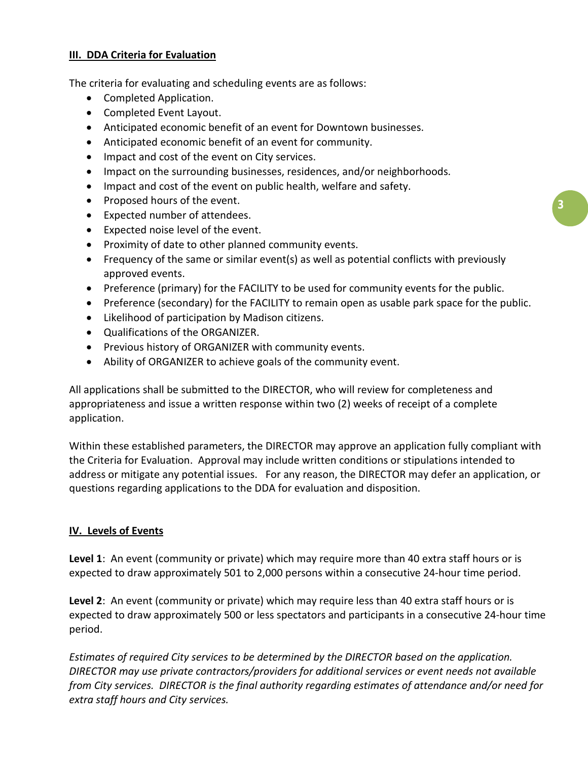## **III. DDA Criteria for Evaluation**

The criteria for evaluating and scheduling events are as follows:

- Completed Application.
- Completed Event Layout.
- Anticipated economic benefit of an event for Downtown businesses.
- Anticipated economic benefit of an event for community.
- Impact and cost of the event on City services.
- Impact on the surrounding businesses, residences, and/or neighborhoods.
- Impact and cost of the event on public health, welfare and safety.
- Proposed hours of the event.
- Expected number of attendees.
- Expected noise level of the event.
- Proximity of date to other planned community events.
- Frequency of the same or similar event(s) as well as potential conflicts with previously approved events.
- Preference (primary) for the FACILITY to be used for community events for the public.
- Preference (secondary) for the FACILITY to remain open as usable park space for the public.
- Likelihood of participation by Madison citizens.
- Qualifications of the ORGANIZER.
- Previous history of ORGANIZER with community events.
- Ability of ORGANIZER to achieve goals of the community event.

All applications shall be submitted to the DIRECTOR, who will review for completeness and appropriateness and issue a written response within two (2) weeks of receipt of a complete application.

Within these established parameters, the DIRECTOR may approve an application fully compliant with the Criteria for Evaluation. Approval may include written conditions or stipulations intended to address or mitigate any potential issues. For any reason, the DIRECTOR may defer an application, or questions regarding applications to the DDA for evaluation and disposition.

#### **IV. Levels of Events**

**Level 1**: An event (community or private) which may require more than 40 extra staff hours or is expected to draw approximately 501 to 2,000 persons within a consecutive 24-hour time period.

**Level 2**: An event (community or private) which may require less than 40 extra staff hours or is expected to draw approximately 500 or less spectators and participants in a consecutive 24-hour time period.

*Estimates of required City services to be determined by the DIRECTOR based on the application. DIRECTOR may use private contractors/providers for additional services or event needs not available from City services. DIRECTOR is the final authority regarding estimates of attendance and/or need for extra staff hours and City services.*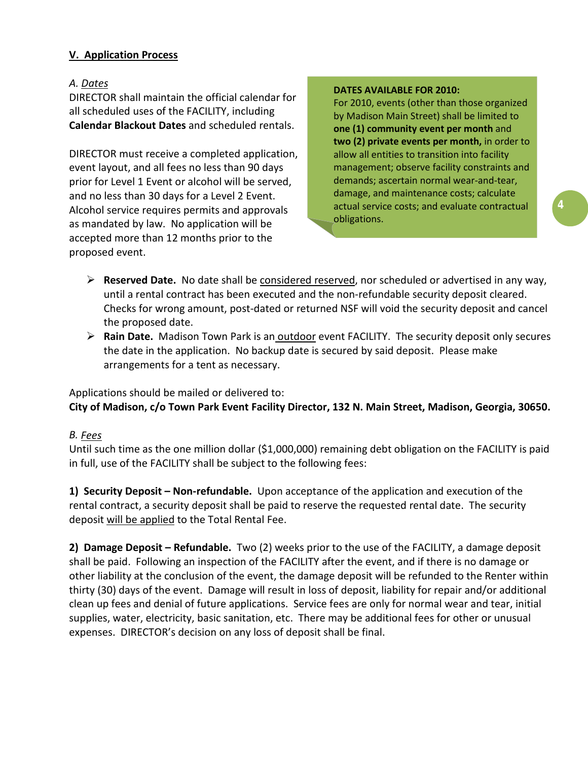# **V. Application Process**

### *A. Dates*

DIRECTOR shall maintain the official calendar for all scheduled uses of the FACILITY, including **Calendar Blackout Dates** and scheduled rentals.

DIRECTOR must receive a completed application, event layout, and all fees no less than 90 days prior for Level 1 Event or alcohol will be served, and no less than 30 days for a Level 2 Event. Alcohol service requires permits and approvals as mandated by law. No application will be accepted more than 12 months prior to the proposed event.

#### **DATES AVAILABLE FOR 2010:**

For 2010, events (other than those organized by Madison Main Street) shall be limited to **one (1) community event per month** and **two (2) private events per month,** in order to allow all entities to transition into facility management; observe facility constraints and demands; ascertain normal wear-and-tear, damage, and maintenance costs; calculate actual service costs; and evaluate contractual obligations.

- **Reserved Date.** No date shall be considered reserved , nor scheduled or advertised in any way, until a rental contract has been executed and the non-refundable security deposit cleared. Checks for wrong amount, post-dated or returned NSF will void the security deposit and cancel the proposed date.
- > Rain Date. Madison Town Park is an outdoor event FACILITY. The security deposit only secures the date in the application. No backup date is secured by said deposit. Please make arrangements for a tent as necessary.

# Applications should be mailed or delivered to:

# **City of Madison, c/o Town Park Event Facility Director, 132 N. Main Street, Madison, Georgia, 30650.**

# *B. Fees*

Until such time as the one million dollar (\$1,000,000) remaining debt obligation on the FACILITY is paid in full, use of the FACILITY shall be subject to the following fees:

**1) Security Deposit – Non-refundable.** Upon acceptance of the application and execution of the rental contract, a security deposit shall be paid to reserve the requested rental date. The security deposit will be applied to the Total Rental Fee.

**2) Damage Deposit – Refundable.** Two (2) weeks prior to the use of the FACILITY, a damage deposit shall be paid. Following an inspection of the FACILITY after the event, and if there is no damage or other liability at the conclusion of the event, the damage deposit will be refunded to the Renter within thirty (30) days of the event. Damage will result in loss of deposit, liability for repair and/or additional clean up fees and denial of future applications. Service fees are only for normal wear and tear, initial supplies, water, electricity, basic sanitation, etc. There may be additional fees for other or unusual expenses. DIRECTOR's decision on any loss of deposit shall be final.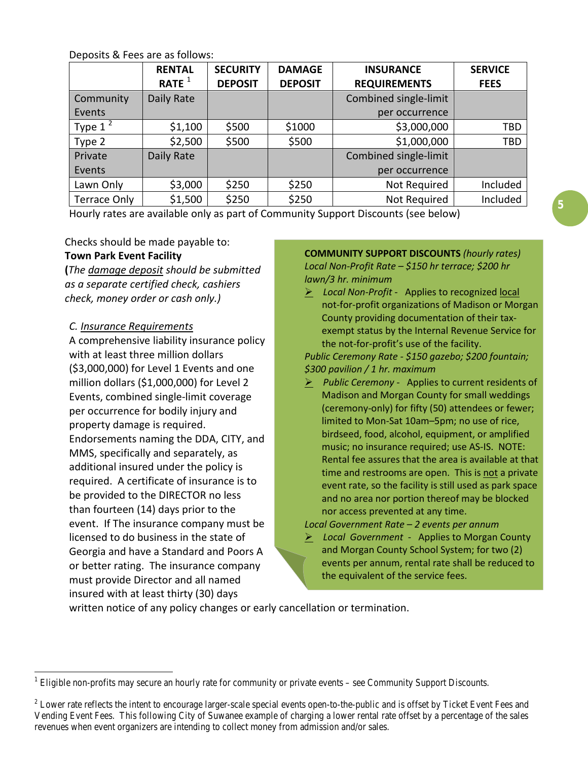Deposits & Fees are as follows:

|                     | <b>RENTAL</b><br>RATE $1$ | <b>SECURITY</b><br><b>DEPOSIT</b> | <b>DAMAGE</b><br><b>DEPOSIT</b> | <b>INSURANCE</b><br><b>REQUIREMENTS</b> | <b>SERVICE</b><br><b>FEES</b> |
|---------------------|---------------------------|-----------------------------------|---------------------------------|-----------------------------------------|-------------------------------|
| Community           | Daily Rate                |                                   |                                 | Combined single-limit                   |                               |
| Events              |                           |                                   |                                 | per occurrence                          |                               |
| Type $1^2$          | \$1,100                   | \$500                             | \$1000                          | \$3,000,000                             | <b>TBD</b>                    |
| Type 2              | \$2,500                   | \$500                             | \$500                           | \$1,000,000                             | <b>TBD</b>                    |
| Private             | Daily Rate                |                                   |                                 | Combined single-limit                   |                               |
| Events              |                           |                                   |                                 | per occurrence                          |                               |
| Lawn Only           | \$3,000                   | \$250                             | \$250                           | Not Required                            | Included                      |
| <b>Terrace Only</b> | \$1,500                   | \$250                             | \$250                           | Not Required                            | Included                      |

Hourly rates are available only as part of Community Support Discounts (see below)

Checks should be made payable to:

## **Town Park Event Facility**

**(***The damage deposit should be submitted as a separate certified check, cashiers check, money order or cash only.)*

## *C. Insurance Requirements*

A comprehensive liability insurance policy with at least three million dollars (\$3,000,000) for Level 1 Events and one million dollars (\$1,000,000) for Level 2 Events, combined single-limit coverage per occurrence for bodily injury and property damage is required. Endorsements naming the DDA, CITY, and MMS, specifically and separately, as additional insured under the policy is required. A certificate of insurance is to be provided to the DIRECTOR no less than fourteen (14) days prior to the event. If The insurance company must be licensed to do business in the state of Georgia and have a Standard and Poors A or better rating. The insurance company must provide Director and all named insured with at least thirty (30) days

**COMMUNITY SUPPORT DISCOUNTS** *(hourly rates) Local Non-Profit Rate – \$150 hr terrace; \$200 hr lawn/3 hr. minimum*

 *Local Non-Profit* - Applies to recognized local not-for-profit organizations of Madison or Morgan County providing documentation of their taxexempt status by the Internal Revenue Service for the not-for-profit's use of the facility.

*Public Ceremony Rate - \$150 gazebo; \$200 fountain; \$300 pavilion / 1 hr. maximum* 

 *Public Ceremony* - Applies to current residents of Madison and Morgan County for small weddings (ceremony-only) for fifty (50) attendees or fewer; limited to Mon-Sat 10am–5pm; no use of rice, birdseed, food, alcohol, equipment, or amplified music; no insurance required; use AS-IS. NOTE: Rental fee assures that the area is available at that time and restrooms are open. This is not a private event rate, so the facility is still used as park space and no area nor portion thereof may be blocked nor access prevented at any time.

*Local Government Rate – 2 events per annum*

 *Local Government* - Applies to Morgan County and Morgan County School System; for two (2) events per annum, rental rate shall be reduced to the equivalent of the service fees.

written notice of any policy changes or early cancellation or termination.

<span id="page-4-0"></span> $1$  Eligible non-profits may secure an hourly rate for community or private events – see Community Support Discounts.

<sup>&</sup>lt;sup>2</sup> Lower rate reflects the intent to encourage larger-scale special events open-to-the-public and is offset by Ticket Event Fees and Vending Event Fees. This following City of Suwanee example of charging a lower rental rate offset by a percentage of the sales revenues when event organizers are intending to collect money from admission and/or sales.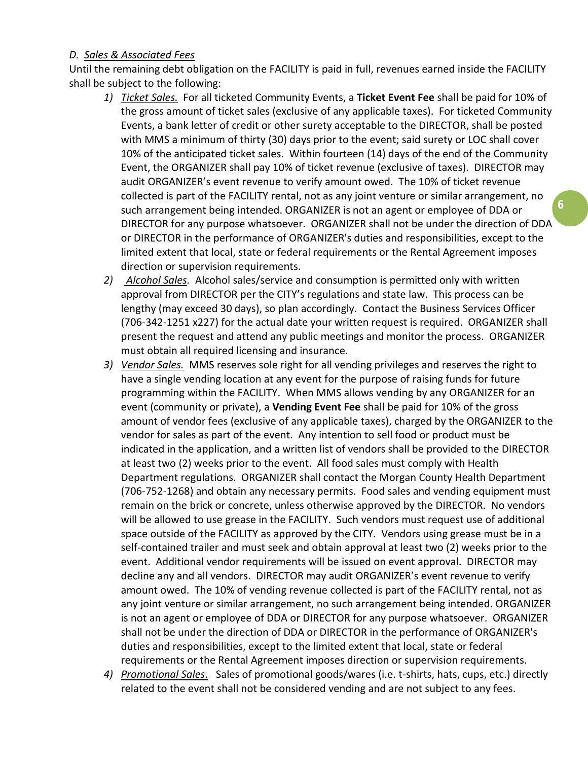## *D. Sales & Associated Fees*

Until the remaining debt obligation on the FACILITY is paid in full, revenues earned inside the FACILITY shall be subject to the following:

1) *Ticket Sales.* For all ticketed Community Events, a Ticket Event Fee shall be paid for 10% of the gross amount of ticket sales (exclusive of any applicable taxes). For ticketed Community Events, a bank letter of credit or other surety acceptable to the DIRECTOR, shall be posted with MMS a minimum of thirty (30) days prior to the event; said surety or LOC shall cover 10% of the anticipated ticket sales. Within fourteen (14) days of the end of the Community Event, the ORGANIZER shall pay 10% of ticket revenue (exclusive of taxes). DIRECTOR may audit ORGANIZER's event revenue to verify amount owed. The 10% of ticket revenue collected is part of the FACILITY rental, not as any joint venture or similar arrangement, no such arrangement being intended. ORGANIZER is not an agent or employee of DDA or DIRECTOR for any purpose whatsoever. ORGANIZER shall not be under the direction of DDA or DIRECTOR in the performance of ORGANIZER's duties and responsibilities, except to the limited extent that local, state or federal requirements or the Rental Agreement imposes direction or supervision requirements.

**6**

- 2) Alcohol Sales. Alcohol sales/service and consumption is permitted only with written approval from DIRECTOR per the CITY's regulations and state law. This process can be lengthy (may exceed 30 days), so plan accordingly. Contact the Business Services Officer (706-342-1251 x227) for the actual date your written request is required. ORGANIZER shall present the request and attend any public meetings and monitor the process. ORGANIZER must obtain all required licensing and insurance.
- 3) Vendor Sales. MMS reserves sole right for all vending privileges and reserves the right to have a single vending location at any event for the purpose of raising funds for future programming within the FACILITY. When MMS allows vending by any ORGANIZER for an event (community or private), a **Vending Event Fee** shall be paid for 10% of the gross amount of vendor fees (exclusive of any applicable taxes), charged by the ORGANIZER to the vendor for sales as part of the event. Any intention to sell food or product must be indicated in the application, and a written list of vendors shall be provided to the DIRECTOR at least two (2) weeks prior to the event. All food sales must comply with Health Department regulations. ORGANIZER shall contact the Morgan County Health Department (706-752-1268) and obtain any necessary permits. Food sales and vending equipment must remain on the brick or concrete, unless otherwise approved by the DIRECTOR. No vendors will be allowed to use grease in the FACILITY. Such vendors must request use of additional space outside of the FACILITY as approved by the CITY. Vendors using grease must be in a self-contained trailer and must seek and obtain approval at least two (2) weeks prior to the event. Additional vendor requirements will be issued on event approval. DIRECTOR may decline any and all vendors. DIRECTOR may audit ORGANIZER's event revenue to verify amount owed. The 10% of vending revenue collected is part of the FACILITY rental, not as any joint venture or similar arrangement, no such arrangement being intended. ORGANIZER is not an agent or employee of DDA or DIRECTOR for any purpose whatsoever. ORGANIZER shall not be under the direction of DDA or DIRECTOR in the performance of ORGANIZER's duties and responsibilities, except to the limited extent that local, state or federal requirements or the Rental Agreement imposes direction or supervision requirements.
- *4) Promotional Sales*. Sales of promotional goods/wares (i.e. t-shirts, hats, cups, etc.) directly related to the event shall not be considered vending and are not subject to any fees.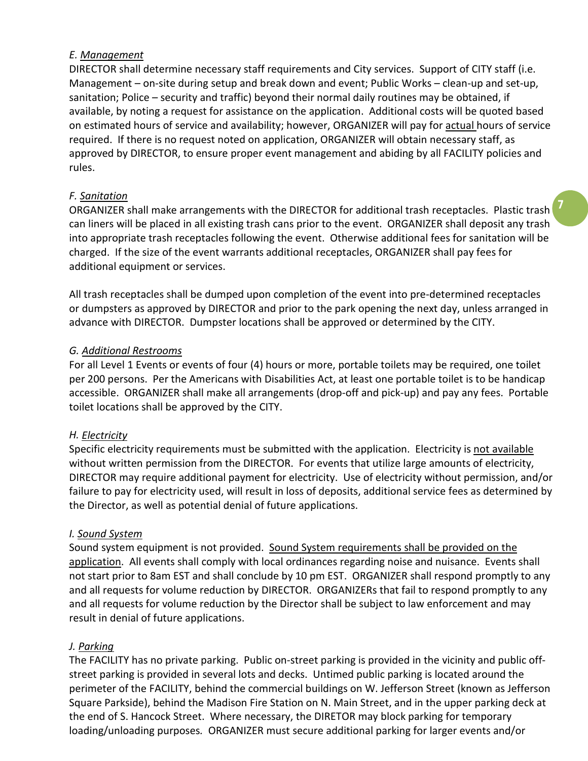## *E. Management*

DIRECTOR shall determine necessary staff requirements and City services. Support of CITY staff (i.e. Management – on-site during setup and break down and event; Public Works – clean-up and set-up, sanitation; Police – security and traffic) beyond their normal daily routines may be obtained, if available, by noting a request for assistance on the application. Additional costs will be quoted based on estimated hours of service and availability; however, ORGANIZER will pay for actual hours of service required. If there is no request noted on application, ORGANIZER will obtain necessary staff, as approved by DIRECTOR, to ensure proper event management and abiding by all FACILITY policies and rules.

# *F. Sanitation*

ORGANIZER shall make arrangements with the DIRECTOR for additional trash receptacles. Plastic trash can liners will be placed in all existing trash cans prior to the event. ORGANIZER shall deposit any trash into appropriate trash receptacles following the event. Otherwise additional fees for sanitation will be charged. If the size of the event warrants additional receptacles, ORGANIZER shall pay fees for additional equipment or services.

**7**

All trash receptacles shall be dumped upon completion of the event into pre-determined receptacles or dumpsters as approved by DIRECTOR and prior to the park opening the next day, unless arranged in advance with DIRECTOR. Dumpster locations shall be approved or determined by the CITY.

# *G. Additional Restrooms*

For all Level 1 Events or events of four (4) hours or more, portable toilets may be required, one toilet per 200 persons. Per the Americans with Disabilities Act, at least one portable toilet is to be handicap accessible. ORGANIZER shall make all arrangements (drop-off and pick-up) and pay any fees. Portable toilet locations shall be approved by the CITY.

# *H. Electricity*

Specific electricity requirements must be submitted with the application. Electricity is not available without written permission from the DIRECTOR. For events that utilize large amounts of electricity, DIRECTOR may require additional payment for electricity. Use of electricity without permission, and/or failure to pay for electricity used, will result in loss of deposits, additional service fees as determined by the Director, as well as potential denial of future applications.

#### *I. Sound System*

Sound system equipment is not provided. Sound System requirements shall be provided on the application. All events shall comply with local ordinances regarding noise and nuisance. Events shall not start prior to 8am EST and shall conclude by 10 pm EST. ORGANIZER shall respond promptly to any and all requests for volume reduction by DIRECTOR. ORGANIZERs that fail to respond promptly to any and all requests for volume reduction by the Director shall be subject to law enforcement and may result in denial of future applications.

# *J. Parking*

The FACILITY has no private parking. Public on-street parking is provided in the vicinity and public offstreet parking is provided in several lots and decks. Untimed public parking is located around the perimeter of the FACILITY, behind the commercial buildings on W. Jefferson Street (known as Jefferson Square Parkside), behind the Madison Fire Station on N. Main Street, and in the upper parking deck at the end of S. Hancock Street. Where necessary, the DIRETOR may block parking for temporary loading/unloading purposes*.* ORGANIZER must secure additional parking for larger events and/or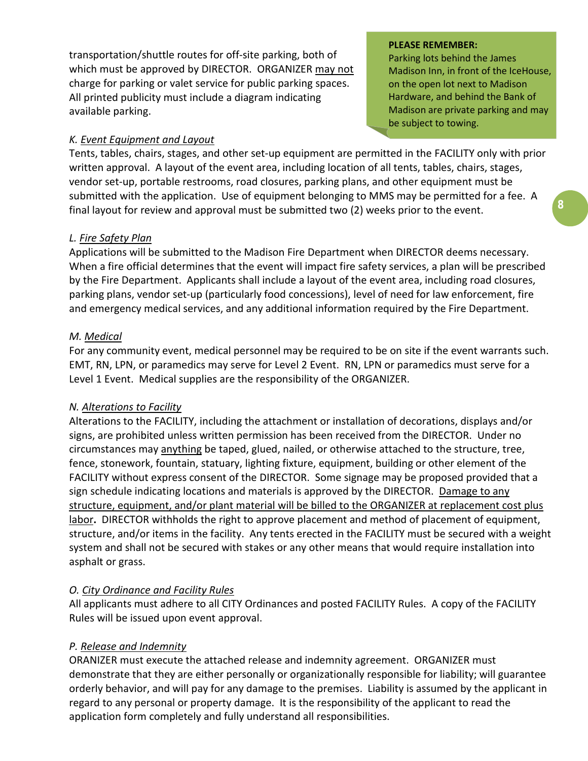transportation/shuttle routes for off-site parking, both of which must be approved by DIRECTOR. ORGANIZER may not charge for parking or valet service for public parking spaces. All printed publicity must include a diagram indicating available parking.

# *K. Event Equipment and Layout*

#### **PLEASE REMEMBER:**

Parking lots behind the James Madison Inn, in front of the IceHouse, on the open lot next to Madison Hardware, and behind the Bank of Madison are private parking and may be subject to towing.

Tents, tables, chairs, stages, and other set-up equipment are permitted in the FACILITY only with prior written approval. A layout of the event area, including location of all tents, tables, chairs, stages, vendor set-up, portable restrooms, road closures, parking plans, and other equipment must be submitted with the application. Use of equipment belonging to MMS may be permitted for a fee. A final layout for review and approval must be submitted two (2) weeks prior to the event.

## *L. Fire Safety Plan*

Applications will be submitted to the Madison Fire Department when DIRECTOR deems necessary. When a fire official determines that the event will impact fire safety services, a plan will be prescribed by the Fire Department. Applicants shall include a layout of the event area, including road closures, parking plans, vendor set-up (particularly food concessions), level of need for law enforcement, fire and emergency medical services, and any additional information required by the Fire Department.

## *M. Medical*

For any community event, medical personnel may be required to be on site if the event warrants such. EMT, RN, LPN, or paramedics may serve for Level 2 Event. RN, LPN or paramedics must serve for a Level 1 Event. Medical supplies are the responsibility of the ORGANIZER.

#### *N. Alterations to Facility*

Alterations to the FACILITY, including the attachment or installation of decorations, displays and/or signs, are prohibited unless written permission has been received from the DIRECTOR. Under no circumstances may anything be taped, glued, nailed, or otherwise attached to the structure, tree, fence, stonework, fountain, statuary, lighting fixture, equipment, building or other element of the FACILITY without express consent of the DIRECTOR. Some signage may be proposed provided that a sign schedule indicating locations and materials is approved by the DIRECTOR. Damage to any structure, equipment, and/or plant material will be billed to the ORGANIZER at replacement cost plus labor**.** DIRECTOR withholds the right to approve placement and method of placement of equipment, structure, and/or items in the facility. Any tents erected in the FACILITY must be secured with a weight system and shall not be secured with stakes or any other means that would require installation into asphalt or grass.

# *O. City Ordinance and Facility Rules*

All applicants must adhere to all CITY Ordinances and posted FACILITY Rules. A copy of the FACILITY Rules will be issued upon event approval.

# *P. Release and Indemnity*

ORANIZER must execute the attached release and indemnity agreement. ORGANIZER must demonstrate that they are either personally or organizationally responsible for liability; will guarantee orderly behavior, and will pay for any damage to the premises. Liability is assumed by the applicant in regard to any personal or property damage. It is the responsibility of the applicant to read the application form completely and fully understand all responsibilities.

**8**